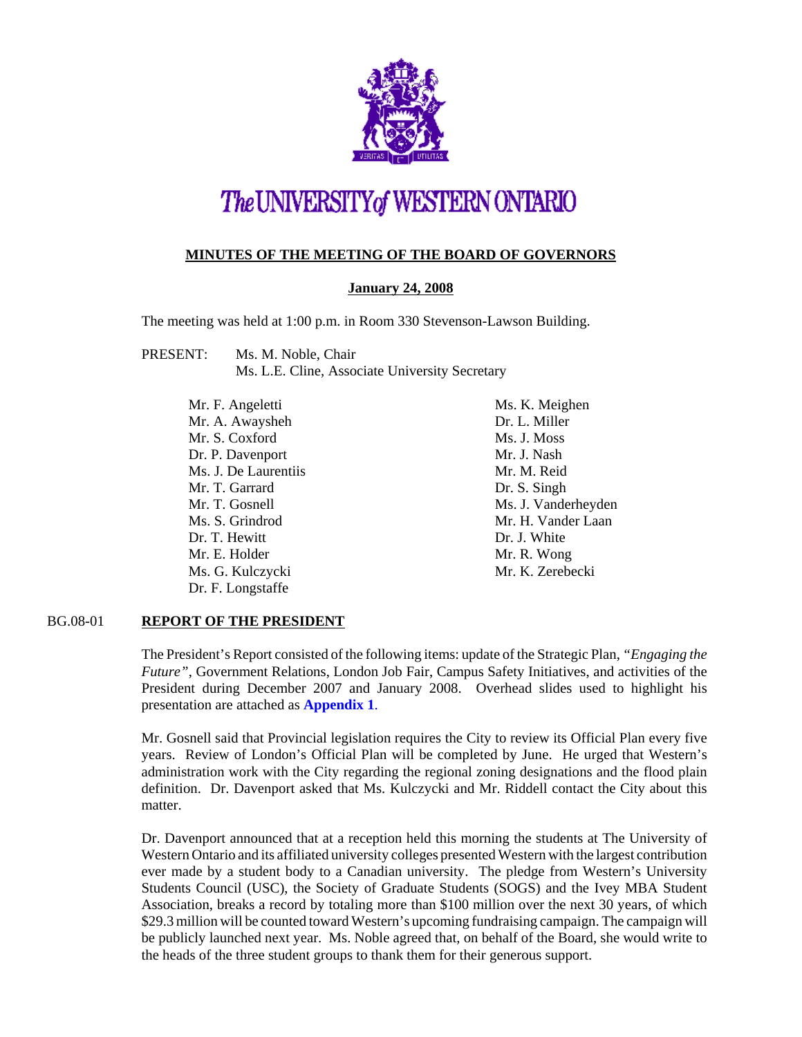

# The UNIVERSITY of WESTERN ONTARIO

# **MINUTES OF THE MEETING OF THE BOARD OF GOVERNORS**

# **January 24, 2008**

The meeting was held at 1:00 p.m. in Room 330 Stevenson-Lawson Building.

- PRESENT: Ms. M. Noble, Chair Ms. L.E. Cline, Associate University Secretary
	- Mr. F. Angeletti Mr. A. Awaysheh Mr. S. Coxford Dr. P. Davenport Ms. J. De Laurentiis Mr. T. Garrard Mr. T. Gosnell Ms. S. Grindrod Dr. T. Hewitt Mr. E. Holder Ms. G. Kulczycki Dr. F. Longstaffe

Ms. K. Meighen Dr. L. Miller Ms. J. Moss Mr. J. Nash Mr. M. Reid Dr. S. Singh Ms. J. Vanderheyden Mr. H. Vander Laan Dr. J. White Mr. R. Wong Mr. K. Zerebecki

## BG.08-01 **REPORT OF THE PRESIDENT**

The President's Report consisted of the following items: update of the Strategic Plan, *"Engaging the Future"*, Government Relations, London Job Fair, Campus Safety Initiatives, and activities of the President during December 2007 and January 2008. Overhead slides used to highlight his presentation are attached as **[Appendix 1](#page-5-0)**.

Mr. Gosnell said that Provincial legislation requires the City to review its Official Plan every five years. Review of London's Official Plan will be completed by June. He urged that Western's administration work with the City regarding the regional zoning designations and the flood plain definition. Dr. Davenport asked that Ms. Kulczycki and Mr. Riddell contact the City about this matter.

Dr. Davenport announced that at a reception held this morning the students at The University of Western Ontario and its affiliated university colleges presented Western with the largest contribution ever made by a student body to a Canadian university. The pledge from Western's University Students Council (USC), the Society of Graduate Students (SOGS) and the Ivey MBA Student Association, breaks a record by totaling more than \$100 million over the next 30 years, of which \$29.3 million will be counted toward Western's upcoming fundraising campaign. The campaign will be publicly launched next year. Ms. Noble agreed that, on behalf of the Board, she would write to the heads of the three student groups to thank them for their generous support.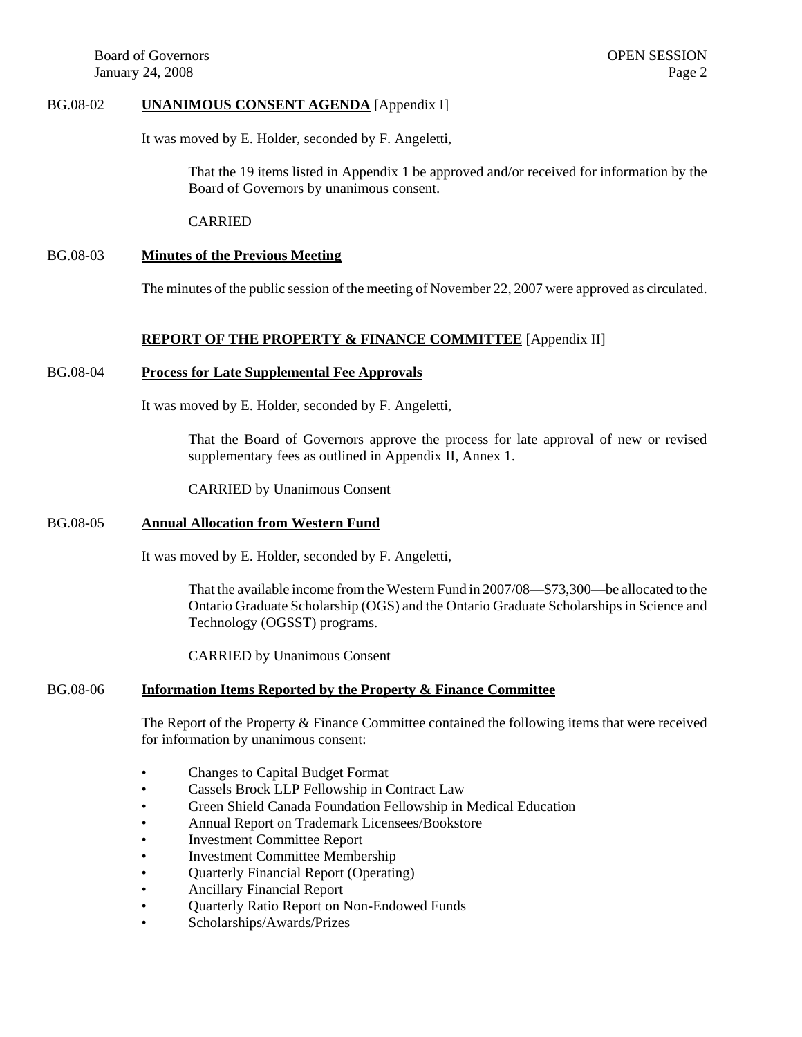#### BG.08-02 **UNANIMOUS CONSENT AGENDA** [Appendix I]

It was moved by E. Holder, seconded by F. Angeletti,

That the 19 items listed in Appendix 1 be approved and/or received for information by the Board of Governors by unanimous consent.

CARRIED

#### BG.08-03 **Minutes of the Previous Meeting**

The minutes of the public session of the meeting of November 22, 2007 were approved as circulated.

## **REPORT OF THE PROPERTY & FINANCE COMMITTEE** [Appendix II]

#### BG.08-04 **Process for Late Supplemental Fee Approvals**

It was moved by E. Holder, seconded by F. Angeletti,

That the Board of Governors approve the process for late approval of new or revised supplementary fees as outlined in Appendix II, Annex 1.

CARRIED by Unanimous Consent

#### BG.08-05 **Annual Allocation from Western Fund**

It was moved by E. Holder, seconded by F. Angeletti,

That the available income from the Western Fund in 2007/08—\$73,300—be allocated to the Ontario Graduate Scholarship (OGS) and the Ontario Graduate Scholarships in Science and Technology (OGSST) programs.

CARRIED by Unanimous Consent

# BG.08-06 **Information Items Reported by the Property & Finance Committee**

The Report of the Property & Finance Committee contained the following items that were received for information by unanimous consent:

- Changes to Capital Budget Format
- Cassels Brock LLP Fellowship in Contract Law
- Green Shield Canada Foundation Fellowship in Medical Education
- Annual Report on Trademark Licensees/Bookstore
- Investment Committee Report
- Investment Committee Membership
- Quarterly Financial Report (Operating)
- Ancillary Financial Report
- Quarterly Ratio Report on Non-Endowed Funds
- Scholarships/Awards/Prizes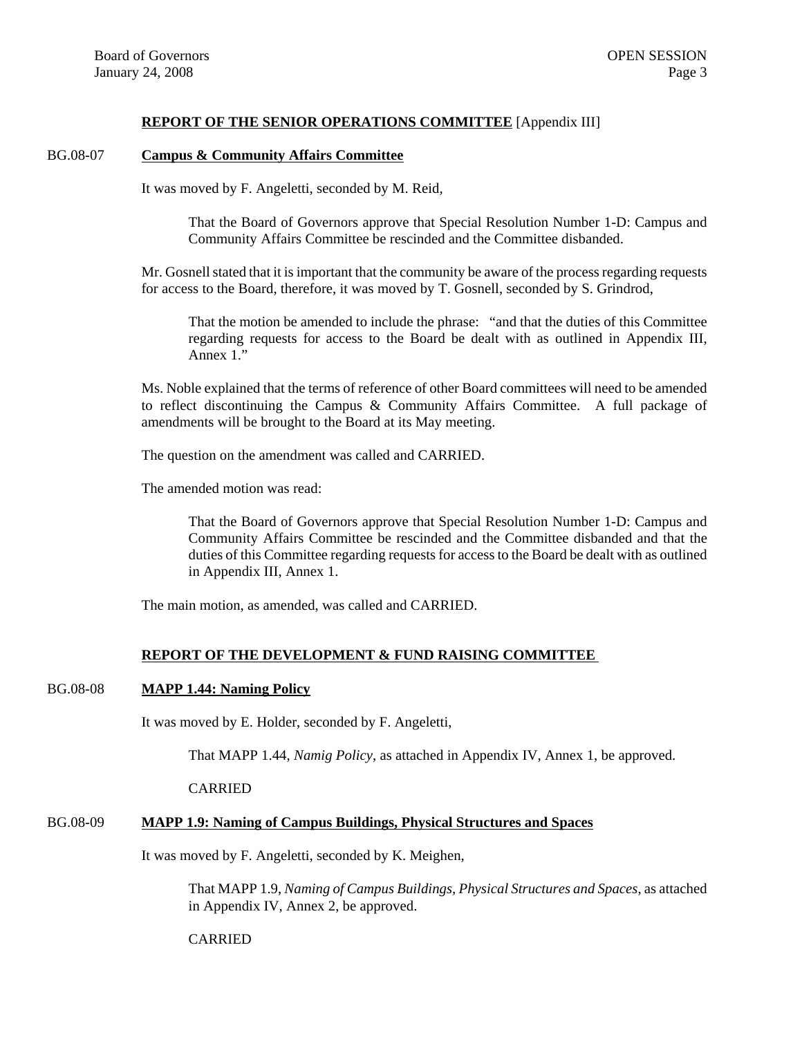## **REPORT OF THE SENIOR OPERATIONS COMMITTEE** [Appendix III]

#### BG.08-07 **Campus & Community Affairs Committee**

It was moved by F. Angeletti, seconded by M. Reid,

That the Board of Governors approve that Special Resolution Number 1-D: Campus and Community Affairs Committee be rescinded and the Committee disbanded.

Mr. Gosnell stated that it is important that the community be aware of the process regarding requests for access to the Board, therefore, it was moved by T. Gosnell, seconded by S. Grindrod,

That the motion be amended to include the phrase: "and that the duties of this Committee regarding requests for access to the Board be dealt with as outlined in Appendix III, Annex 1."

Ms. Noble explained that the terms of reference of other Board committees will need to be amended to reflect discontinuing the Campus & Community Affairs Committee. A full package of amendments will be brought to the Board at its May meeting.

The question on the amendment was called and CARRIED.

The amended motion was read:

That the Board of Governors approve that Special Resolution Number 1-D: Campus and Community Affairs Committee be rescinded and the Committee disbanded and that the duties of this Committee regarding requests for access to the Board be dealt with as outlined in Appendix III, Annex 1.

The main motion, as amended, was called and CARRIED.

## **REPORT OF THE DEVELOPMENT & FUND RAISING COMMITTEE**

#### BG.08-08 **MAPP 1.44: Naming Policy**

It was moved by E. Holder, seconded by F. Angeletti,

That MAPP 1.44, *Namig Policy*, as attached in Appendix IV, Annex 1, be approved.

CARRIED

# BG.08-09 **MAPP 1.9: Naming of Campus Buildings, Physical Structures and Spaces**

It was moved by F. Angeletti, seconded by K. Meighen,

That MAPP 1.9, *Naming of Campus Buildings, Physical Structures and Spaces*, as attached in Appendix IV, Annex 2, be approved.

## CARRIED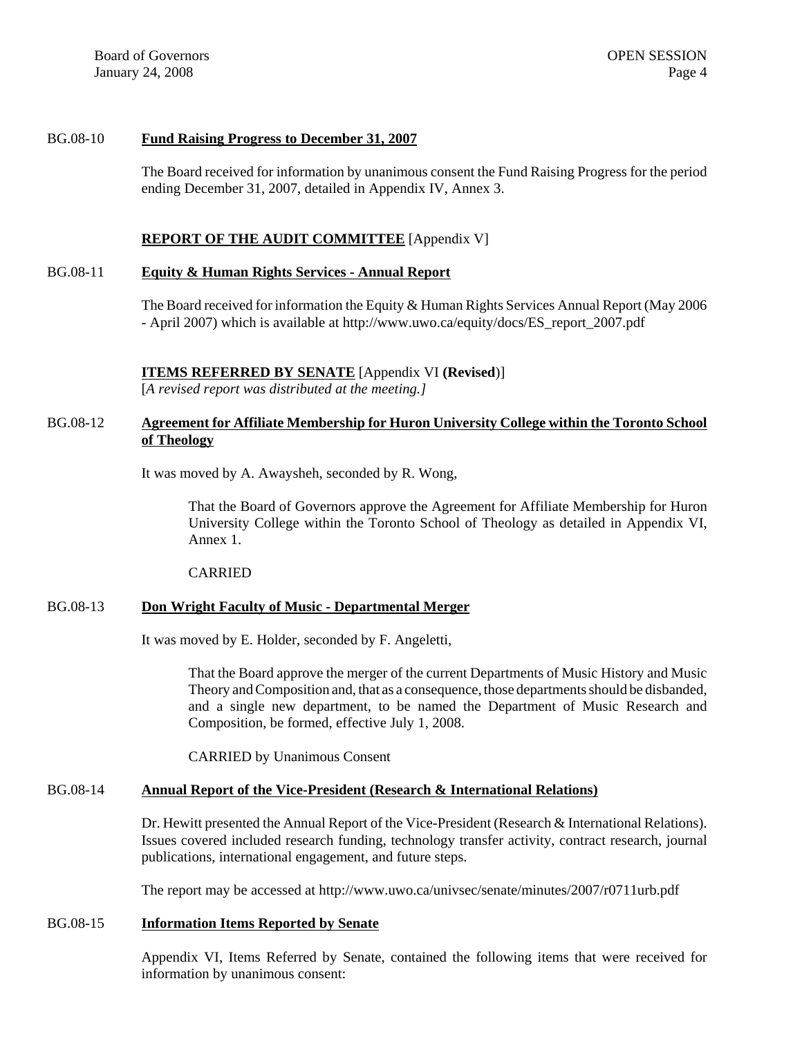Board of Governors **OPEN SESSION** January 24, 2008 Page 4

#### BG.08-10 **Fund Raising Progress to December 31, 2007**

The Board received for information by unanimous consent the Fund Raising Progress for the period ending December 31, 2007, detailed in Appendix IV, Annex 3.

#### **REPORT OF THE AUDIT COMMITTEE** [Appendix V]

#### BG.08-11 **Equity & Human Rights Services - Annual Report**

The Board received for information the Equity & Human Rights Services Annual Report (May 2006 - April 2007) which is available at http://www.uwo.ca/equity/docs/ES\_report\_2007.pdf

## **ITEMS REFERRED BY SENATE** [Appendix VI **(Revised**)] [*A revised report was distributed at the meeting.]*

# BG.08-12 **Agreement for Affiliate Membership for Huron University College within the Toronto School of Theology**

It was moved by A. Awaysheh, seconded by R. Wong,

That the Board of Governors approve the Agreement for Affiliate Membership for Huron University College within the Toronto School of Theology as detailed in Appendix VI, Annex 1.

CARRIED

#### BG.08-13 **Don Wright Faculty of Music - Departmental Merger**

It was moved by E. Holder, seconded by F. Angeletti,

That the Board approve the merger of the current Departments of Music History and Music Theory and Composition and, that as a consequence, those departments should be disbanded, and a single new department, to be named the Department of Music Research and Composition, be formed, effective July 1, 2008.

CARRIED by Unanimous Consent

#### BG.08-14 **Annual Report of the Vice-President (Research & International Relations)**

Dr. Hewitt presented the Annual Report of the Vice-President (Research & International Relations). Issues covered included research funding, technology transfer activity, contract research, journal publications, international engagement, and future steps.

The report may be accessed at http://www.uwo.ca/univsec/senate/minutes/2007/r0711urb.pdf

## BG.08-15 **Information Items Reported by Senate**

Appendix VI, Items Referred by Senate, contained the following items that were received for information by unanimous consent: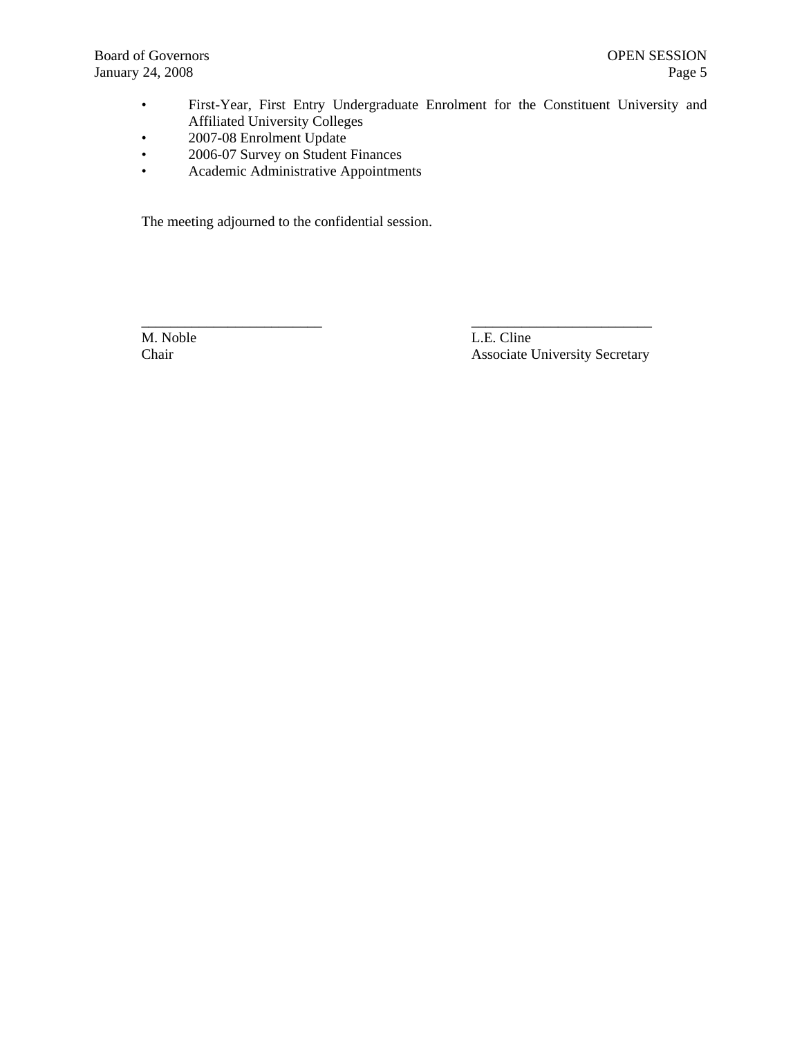• First-Year, First Entry Undergraduate Enrolment for the Constituent University and Affiliated University Colleges

\_\_\_\_\_\_\_\_\_\_\_\_\_\_\_\_\_\_\_\_\_\_\_\_\_ \_\_\_\_\_\_\_\_\_\_\_\_\_\_\_\_\_\_\_\_\_\_\_\_\_

- 2007-08 Enrolment Update
- 2006-07 Survey on Student Finances
- Academic Administrative Appointments

The meeting adjourned to the confidential session.

M. Noble L.E. Cline Chair Associate University Secretary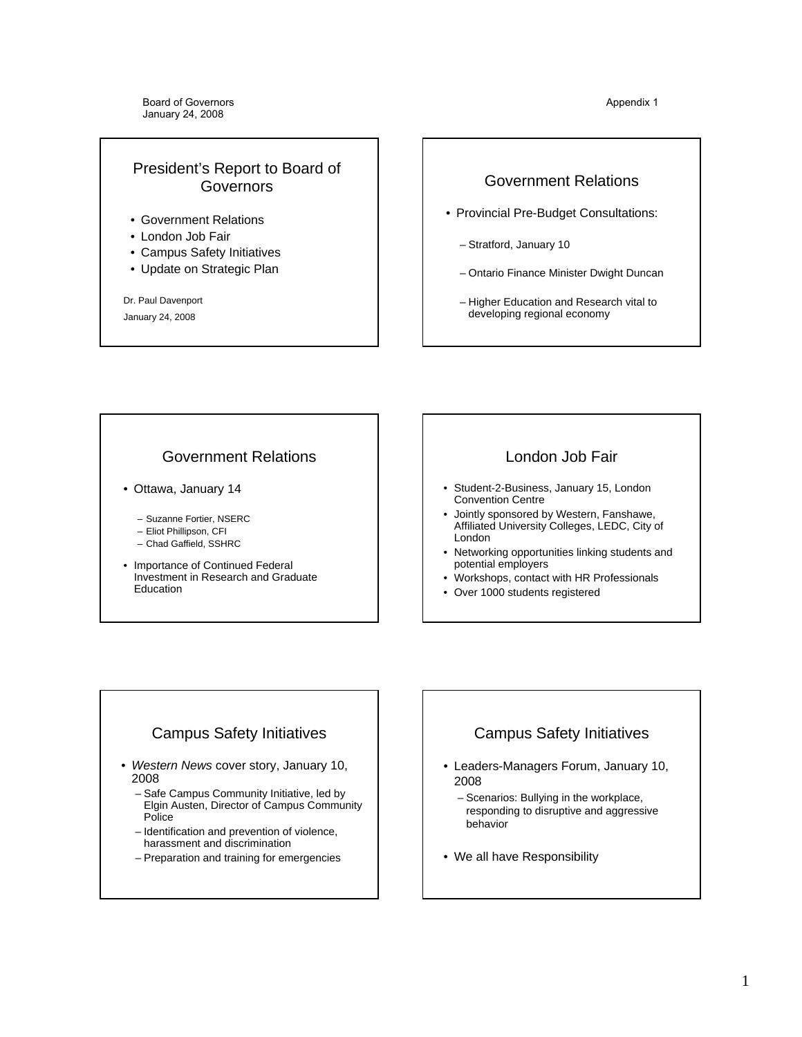# <span id="page-5-0"></span>President's Report to Board of Governors

- Government Relations
- London Job Fair
- Campus Safety Initiatives
- Update on Strategic Plan

Dr. Paul Davenport January 24, 2008

# Government Relations

- Provincial Pre-Budget Consultations:
	- Stratford, January 10
	- Ontario Finance Minister Dwight Duncan
	- Higher Education and Research vital to developing regional economy

# Government Relations

- Ottawa, January 14
	- Suzanne Fortier, NSERC
	- Eliot Phillipson, CFI
	- Chad Gaffield, SSHRC
- Importance of Continued Federal Investment in Research and Graduate Education

# London Job Fair

- Student-2-Business, January 15, London Convention Centre
- Jointly sponsored by Western, Fanshawe, Affiliated University Colleges, LEDC, City of London
- Networking opportunities linking students and potential employers
- Workshops, contact with HR Professionals
- Over 1000 students registered

# Campus Safety Initiatives

- *Western News* cover story, January 10, 2008
	- Safe Campus Community Initiative, led by Elgin Austen, Director of Campus Community Police
	- Identification and prevention of violence, harassment and discrimination
	- Preparation and training for emergencies

# Campus Safety Initiatives

- Leaders-Managers Forum, January 10, 2008
	- Scenarios: Bullying in the workplace, responding to disruptive and aggressive behavior
- We all have Responsibility